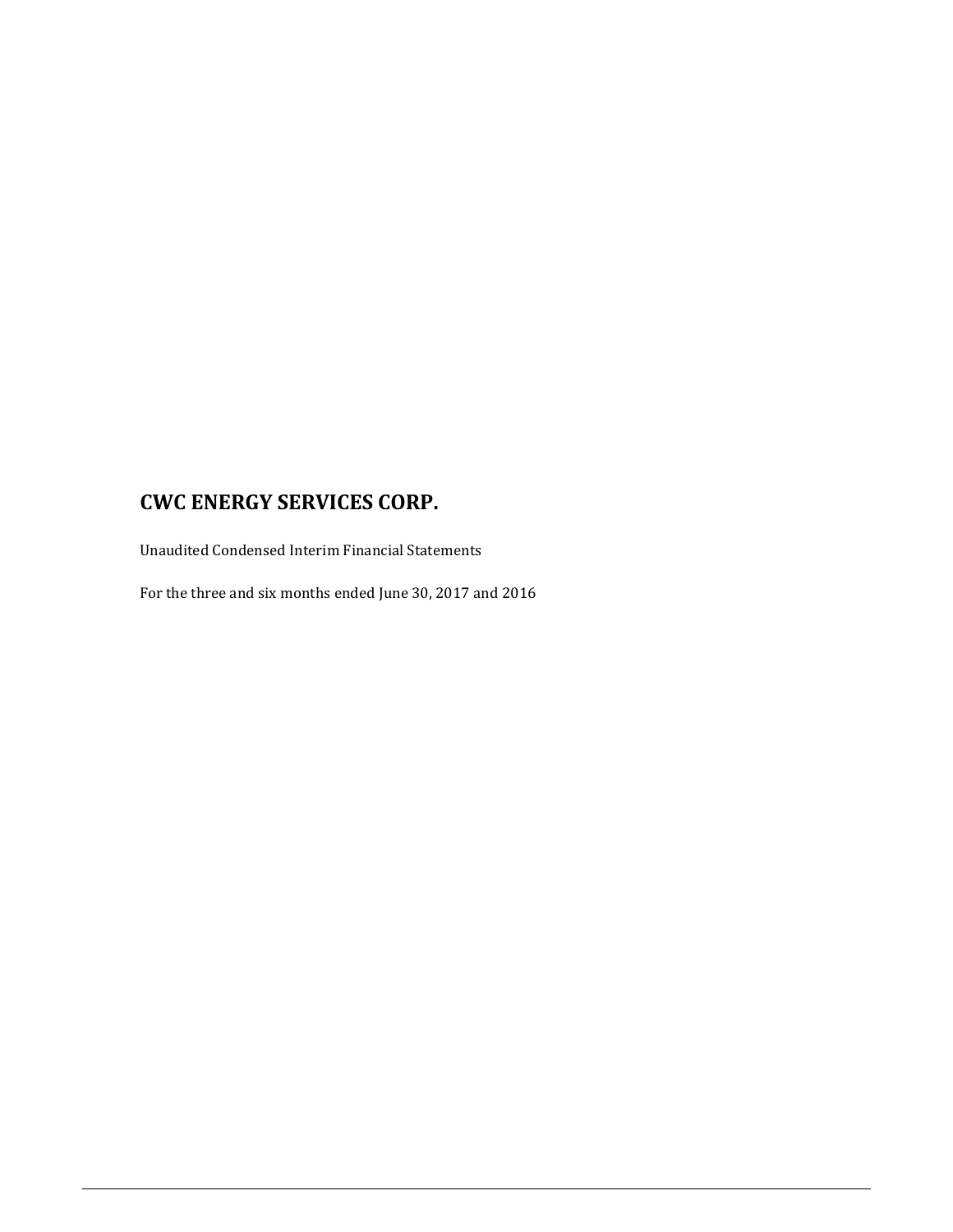Unaudited Condensed Interim Financial Statements

For the three and six months ended June 30, 2017 and 2016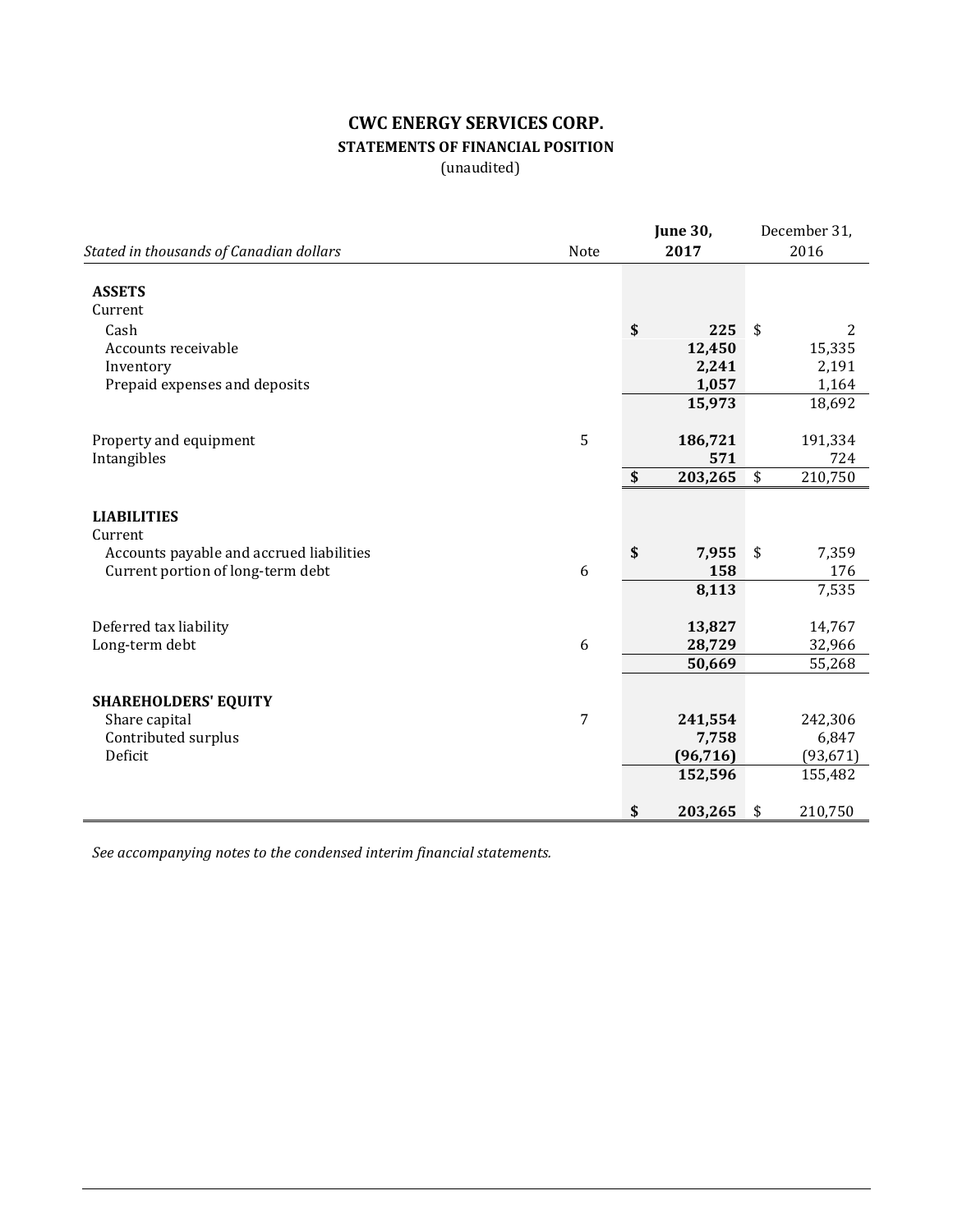# **CWC ENERGY SERVICES CORP. STATEMENTS OF FINANCIAL POSITION**

(unaudited)

|                                          |      | <b>June 30,</b> | December 31,  |
|------------------------------------------|------|-----------------|---------------|
| Stated in thousands of Canadian dollars  | Note | 2017            | 2016          |
| <b>ASSETS</b><br>Current                 |      |                 |               |
| Cash                                     |      | \$<br>225       | \$<br>2       |
| Accounts receivable                      |      | 12,450          | 15,335        |
| Inventory                                |      | 2,241           | 2,191         |
| Prepaid expenses and deposits            |      | 1,057           | 1,164         |
|                                          |      | 15,973          | 18,692        |
|                                          |      |                 |               |
| Property and equipment                   | 5    | 186,721         | 191,334       |
| Intangibles                              |      | 571             | 724           |
|                                          |      | \$<br>203,265   | \$<br>210,750 |
| <b>LIABILITIES</b>                       |      |                 |               |
| Current                                  |      |                 |               |
| Accounts payable and accrued liabilities |      | \$<br>7,955     | \$<br>7,359   |
| Current portion of long-term debt        | 6    | 158             | 176           |
|                                          |      | 8,113           | 7,535         |
| Deferred tax liability                   |      | 13,827          | 14,767        |
| Long-term debt                           | 6    | 28,729          | 32,966        |
|                                          |      | 50,669          | 55,268        |
|                                          |      |                 |               |
| <b>SHAREHOLDERS' EQUITY</b>              |      |                 |               |
| Share capital                            | 7    | 241,554         | 242,306       |
| Contributed surplus                      |      | 7,758           | 6,847         |
| Deficit                                  |      | (96, 716)       | (93, 671)     |
|                                          |      | 152,596         | 155,482       |
|                                          |      | \$<br>203,265   | \$<br>210,750 |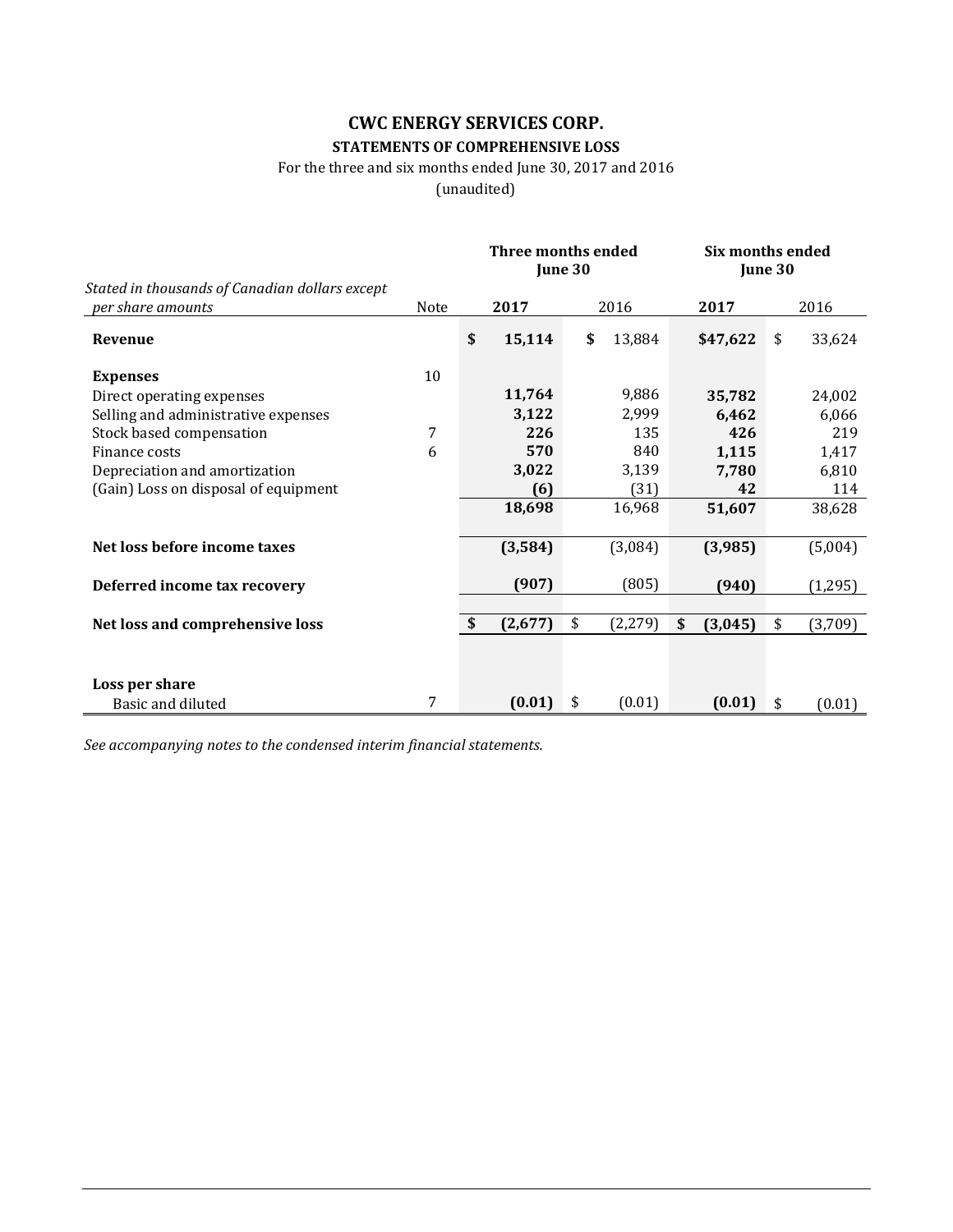## **CWC ENERGY SERVICES CORP. STATEMENTS OF COMPREHENSIVE LOSS**

## For the three and six months ended June 30, 2017 and 2016

(unaudited)

|                                                                     |      | <b>Three months ended</b><br>June 30 |         |                | Six months ended<br>June 30 |    |          |
|---------------------------------------------------------------------|------|--------------------------------------|---------|----------------|-----------------------------|----|----------|
| Stated in thousands of Canadian dollars except<br>per share amounts | Note |                                      | 2017    | 2016           | 2017                        |    | 2016     |
| Revenue                                                             |      | \$                                   | 15,114  | \$<br>13,884   | \$47,622                    | \$ | 33,624   |
| <b>Expenses</b>                                                     | 10   |                                      |         |                |                             |    |          |
| Direct operating expenses                                           |      |                                      | 11,764  | 9,886          | 35,782                      |    | 24,002   |
| Selling and administrative expenses                                 |      |                                      | 3,122   | 2,999          | 6,462                       |    | 6,066    |
| Stock based compensation                                            | 7    |                                      | 226     | 135            | 426                         |    | 219      |
| Finance costs                                                       | 6    |                                      | 570     | 840            | 1,115                       |    | 1,417    |
| Depreciation and amortization                                       |      |                                      | 3,022   | 3,139          | 7,780                       |    | 6,810    |
| (Gain) Loss on disposal of equipment                                |      |                                      | (6)     | (31)           | 42                          |    | 114      |
|                                                                     |      |                                      | 18,698  | 16,968         | 51,607                      |    | 38,628   |
| Net loss before income taxes                                        |      |                                      | (3,584) | (3,084)        | (3,985)                     |    | (5,004)  |
| Deferred income tax recovery                                        |      |                                      | (907)   | (805)          | (940)                       |    | (1, 295) |
|                                                                     |      |                                      |         |                |                             |    |          |
| Net loss and comprehensive loss                                     |      | \$                                   | (2,677) | \$<br>(2, 279) | \$<br>(3,045)               | \$ | (3,709)  |
|                                                                     |      |                                      |         |                |                             |    |          |
| Loss per share                                                      |      |                                      |         |                |                             |    |          |
| Basic and diluted                                                   | 7    |                                      | (0.01)  | \$<br>(0.01)   | (0.01)                      | \$ | (0.01)   |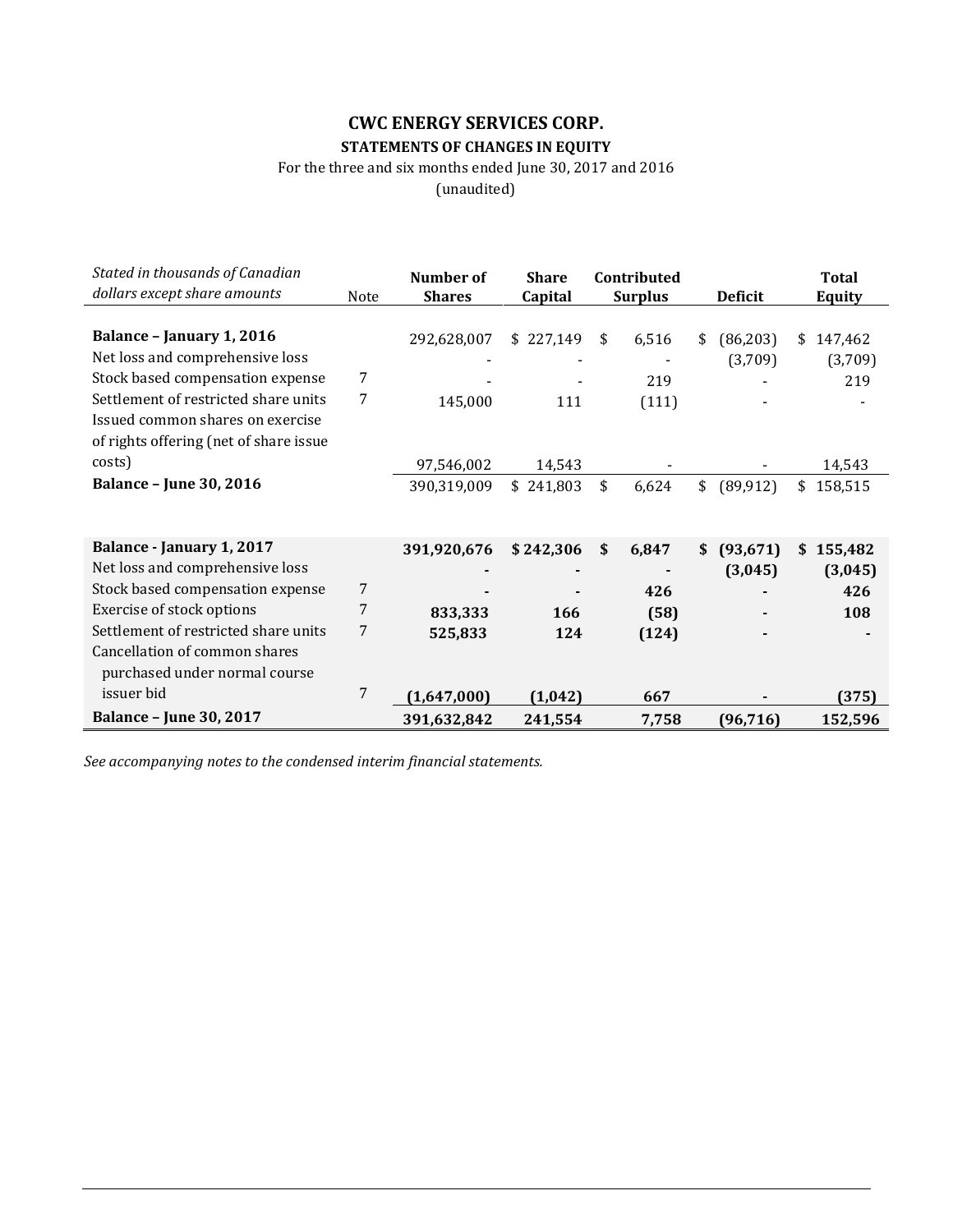## **CWC ENERGY SERVICES CORP. STATEMENTS OF CHANGES IN EQUITY**

For the three and six months ended June 30, 2017 and 2016

(unaudited)

| Stated in thousands of Canadian        |      | Number of     | <b>Share</b> | Contributed    |                 | <b>Total</b>  |
|----------------------------------------|------|---------------|--------------|----------------|-----------------|---------------|
| dollars except share amounts           | Note | <b>Shares</b> | Capital      | <b>Surplus</b> | <b>Deficit</b>  | <b>Equity</b> |
|                                        |      |               |              |                |                 |               |
| Balance - January 1, 2016              |      | 292,628,007   | \$227,149    | \$<br>6,516    | (86, 203)<br>\$ | 147,462<br>\$ |
| Net loss and comprehensive loss        |      |               |              |                | (3,709)         | (3,709)       |
| Stock based compensation expense       | 7    |               |              | 219            |                 | 219           |
| Settlement of restricted share units   | 7    | 145,000       | 111          | (111)          |                 |               |
| Issued common shares on exercise       |      |               |              |                |                 |               |
| of rights offering (net of share issue |      |               |              |                |                 |               |
| costs)                                 |      | 97,546,002    | 14,543       |                |                 | 14,543        |
| <b>Balance - June 30, 2016</b>         |      | 390,319,009   | \$241,803    | \$<br>6,624    | \$<br>(89, 912) | 158,515<br>\$ |
|                                        |      |               |              |                |                 |               |
|                                        |      |               |              |                |                 |               |
| Balance - January 1, 2017              |      | 391,920,676   | \$242,306    | \$<br>6,847    | (93, 671)<br>\$ | 155,482<br>\$ |
| Net loss and comprehensive loss        |      |               |              |                | (3,045)         | (3,045)       |
| Stock based compensation expense       | 7    |               |              | 426            |                 | 426           |
| Exercise of stock options              | 7    | 833,333       | 166          | (58)           |                 | 108           |
| Settlement of restricted share units   | 7    | 525,833       | 124          | (124)          |                 |               |
| Cancellation of common shares          |      |               |              |                |                 |               |
| purchased under normal course          |      |               |              |                |                 |               |
| issuer bid                             | 7    | (1,647,000)   | (1,042)      | 667            |                 | (375)         |
| <b>Balance - June 30, 2017</b>         |      | 391,632,842   | 241,554      | 7,758          | (96, 716)       | 152,596       |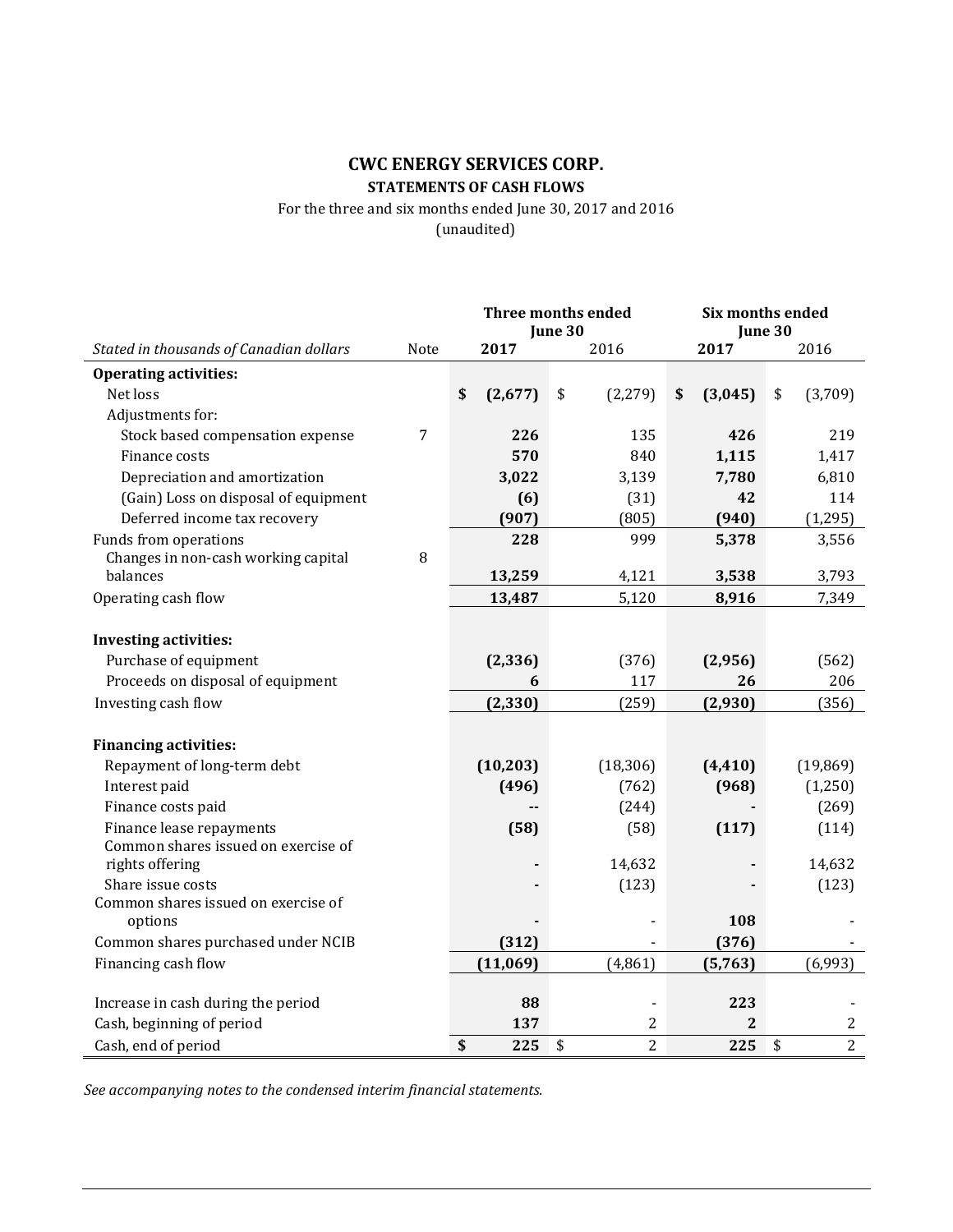## **CWC ENERGY SERVICES CORP. STATEMENTS OF CASH FLOWS**

For the three and six months ended June 30, 2017 and 2016 (unaudited)

|                                                          |      | <b>Three months ended</b><br>June 30 |                          | Six months ended<br>June 30 |    |                  |
|----------------------------------------------------------|------|--------------------------------------|--------------------------|-----------------------------|----|------------------|
| Stated in thousands of Canadian dollars                  | Note | 2017                                 | 2016                     | 2017                        |    | 2016             |
| <b>Operating activities:</b>                             |      |                                      |                          |                             |    |                  |
| Net loss                                                 |      | \$<br>(2,677)                        | \$<br>(2, 279)           | \$<br>(3,045)               | \$ | (3,709)          |
| Adjustments for:                                         |      |                                      |                          |                             |    |                  |
| Stock based compensation expense                         | 7    | 226                                  | 135                      | 426                         |    | 219              |
| Finance costs                                            |      | 570                                  | 840                      | 1,115                       |    | 1,417            |
| Depreciation and amortization                            |      | 3,022                                | 3,139                    | 7,780                       |    | 6,810            |
| (Gain) Loss on disposal of equipment                     |      | (6)                                  | (31)                     | 42                          |    | 114              |
| Deferred income tax recovery                             |      | (907)                                | (805)                    | (940)                       |    | (1, 295)         |
| Funds from operations                                    |      | 228                                  | 999                      | 5,378                       |    | 3,556            |
| Changes in non-cash working capital                      | 8    |                                      |                          |                             |    |                  |
| balances                                                 |      | 13,259                               | 4,121                    | 3,538                       |    | 3,793            |
| Operating cash flow                                      |      | 13,487                               | 5,120                    | 8,916                       |    | 7,349            |
|                                                          |      |                                      |                          |                             |    |                  |
| <b>Investing activities:</b>                             |      |                                      |                          |                             |    |                  |
| Purchase of equipment                                    |      | (2, 336)                             | (376)                    | (2,956)                     |    | (562)            |
| Proceeds on disposal of equipment                        |      | 6                                    | 117                      | 26                          |    | 206              |
| Investing cash flow                                      |      | (2, 330)                             | (259)                    | (2,930)                     |    | (356)            |
|                                                          |      |                                      |                          |                             |    |                  |
| <b>Financing activities:</b>                             |      |                                      |                          |                             |    |                  |
| Repayment of long-term debt                              |      | (10, 203)                            | (18, 306)                | (4, 410)                    |    | (19, 869)        |
| Interest paid                                            |      | (496)                                | (762)                    | (968)                       |    | (1,250)          |
| Finance costs paid                                       |      |                                      | (244)                    |                             |    | (269)            |
| Finance lease repayments                                 |      | (58)                                 | (58)                     | (117)                       |    | (114)            |
| Common shares issued on exercise of                      |      |                                      |                          |                             |    |                  |
| rights offering                                          |      |                                      | 14,632                   |                             |    | 14,632           |
| Share issue costs<br>Common shares issued on exercise of |      |                                      | (123)                    |                             |    | (123)            |
| options                                                  |      |                                      |                          | 108                         |    |                  |
| Common shares purchased under NCIB                       |      | (312)                                |                          | (376)                       |    |                  |
| Financing cash flow                                      |      | (11,069)                             | (4,861)                  | (5,763)                     |    | (6,993)          |
|                                                          |      |                                      |                          |                             |    |                  |
| Increase in cash during the period                       |      | 88                                   | $\overline{\phantom{a}}$ | 223                         |    |                  |
| Cash, beginning of period                                |      | 137                                  | 2                        | 2                           |    | $\boldsymbol{2}$ |
| Cash, end of period                                      |      | \$<br>225                            | \$<br>$\overline{2}$     | 225                         | \$ | $\overline{2}$   |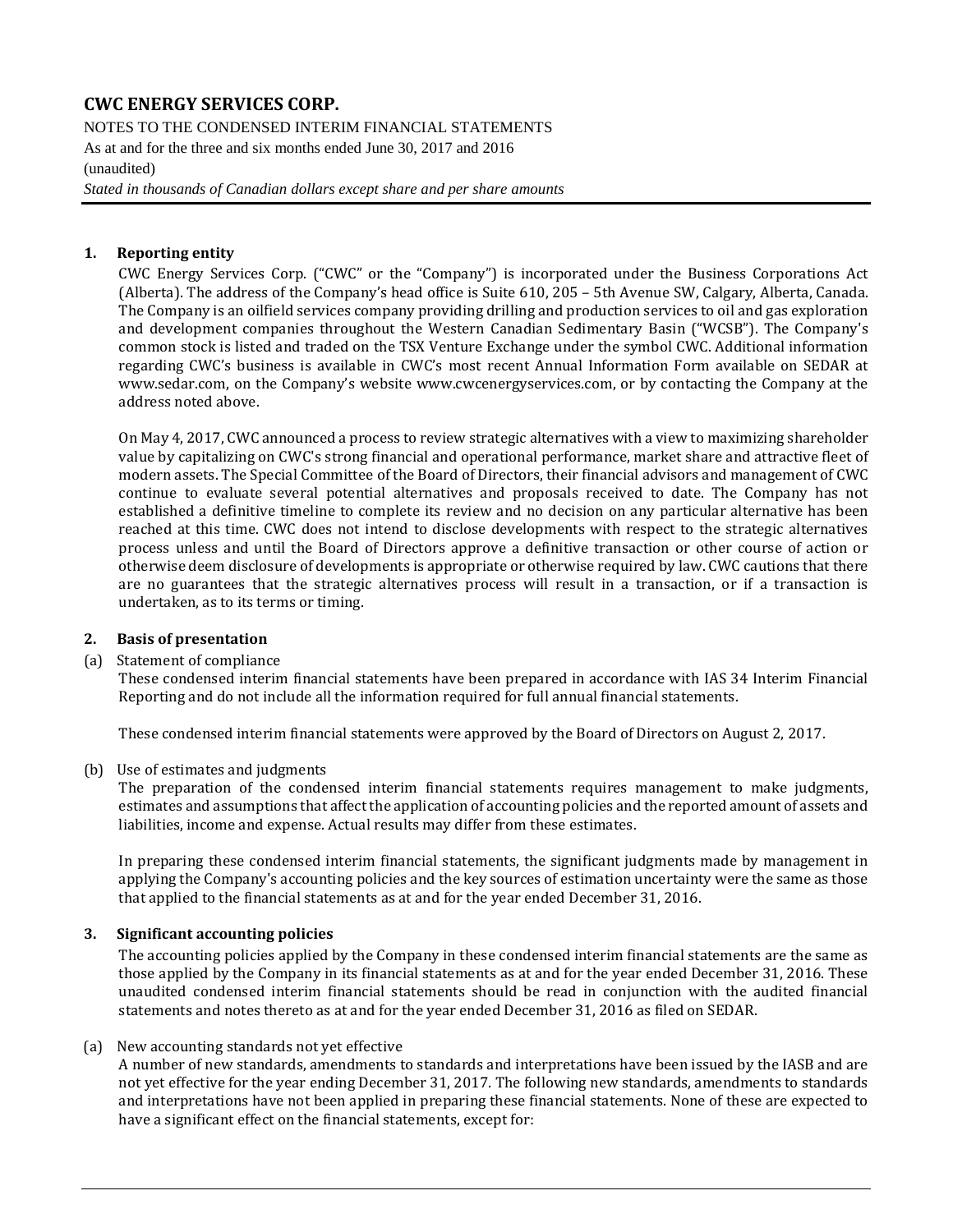NOTES TO THE CONDENSED INTERIM FINANCIAL STATEMENTS As at and for the three and six months ended June 30, 2017 and 2016 (unaudited)

*Stated in thousands of Canadian dollars except share and per share amounts*

### **1. Reporting entity**

CWC Energy Services Corp. ("CWC" or the "Company") is incorporated under the Business Corporations Act (Alberta). The address of the Company's head office is Suite 610, 205 – 5th Avenue SW, Calgary, Alberta, Canada. The Company is an oilfield services company providing drilling and production services to oil and gas exploration and development companies throughout the Western Canadian Sedimentary Basin ("WCSB"). The Company's common stock is listed and traded on the TSX Venture Exchange under the symbol CWC. Additional information regarding CWC's business is available in CWC's most recent Annual Information Form available on SEDAR at [www.sedar.com,](http://www.sedar.com/) on the Company's website [www.cwcenergyservices.com,](http://www.cwcenergyservices.com/) or by contacting the Company at the address noted above.

On May 4, 2017, CWC announced a process to review strategic alternatives with a view to maximizing shareholder value by capitalizing on CWC's strong financial and operational performance, market share and attractive fleet of modern assets. The Special Committee of the Board of Directors, their financial advisors and management of CWC continue to evaluate several potential alternatives and proposals received to date. The Company has not established a definitive timeline to complete its review and no decision on any particular alternative has been reached at this time. CWC does not intend to disclose developments with respect to the strategic alternatives process unless and until the Board of Directors approve a definitive transaction or other course of action or otherwise deem disclosure of developments is appropriate or otherwise required by law. CWC cautions that there are no guarantees that the strategic alternatives process will result in a transaction, or if a transaction is undertaken, as to its terms or timing.

#### **2. Basis of presentation**

#### (a) Statement of compliance

These condensed interim financial statements have been prepared in accordance with IAS 34 Interim Financial Reporting and do not include all the information required for full annual financial statements.

These condensed interim financial statements were approved by the Board of Directors on August 2, 2017.

#### (b) Use of estimates and judgments

The preparation of the condensed interim financial statements requires management to make judgments, estimates and assumptions that affect the application of accounting policies and the reported amount of assets and liabilities, income and expense. Actual results may differ from these estimates.

In preparing these condensed interim financial statements, the significant judgments made by management in applying the Company's accounting policies and the key sources of estimation uncertainty were the same as those that applied to the financial statements as at and for the year ended December 31, 2016.

#### **3. Significant accounting policies**

The accounting policies applied by the Company in these condensed interim financial statements are the same as those applied by the Company in its financial statements as at and for the year ended December 31, 2016. These unaudited condensed interim financial statements should be read in conjunction with the audited financial statements and notes thereto as at and for the year ended December 31, 2016 as filed on SEDAR.

#### (a) New accounting standards not yet effective

A number of new standards, amendments to standards and interpretations have been issued by the IASB and are not yet effective for the year ending December 31, 2017. The following new standards, amendments to standards and interpretations have not been applied in preparing these financial statements. None of these are expected to have a significant effect on the financial statements, except for: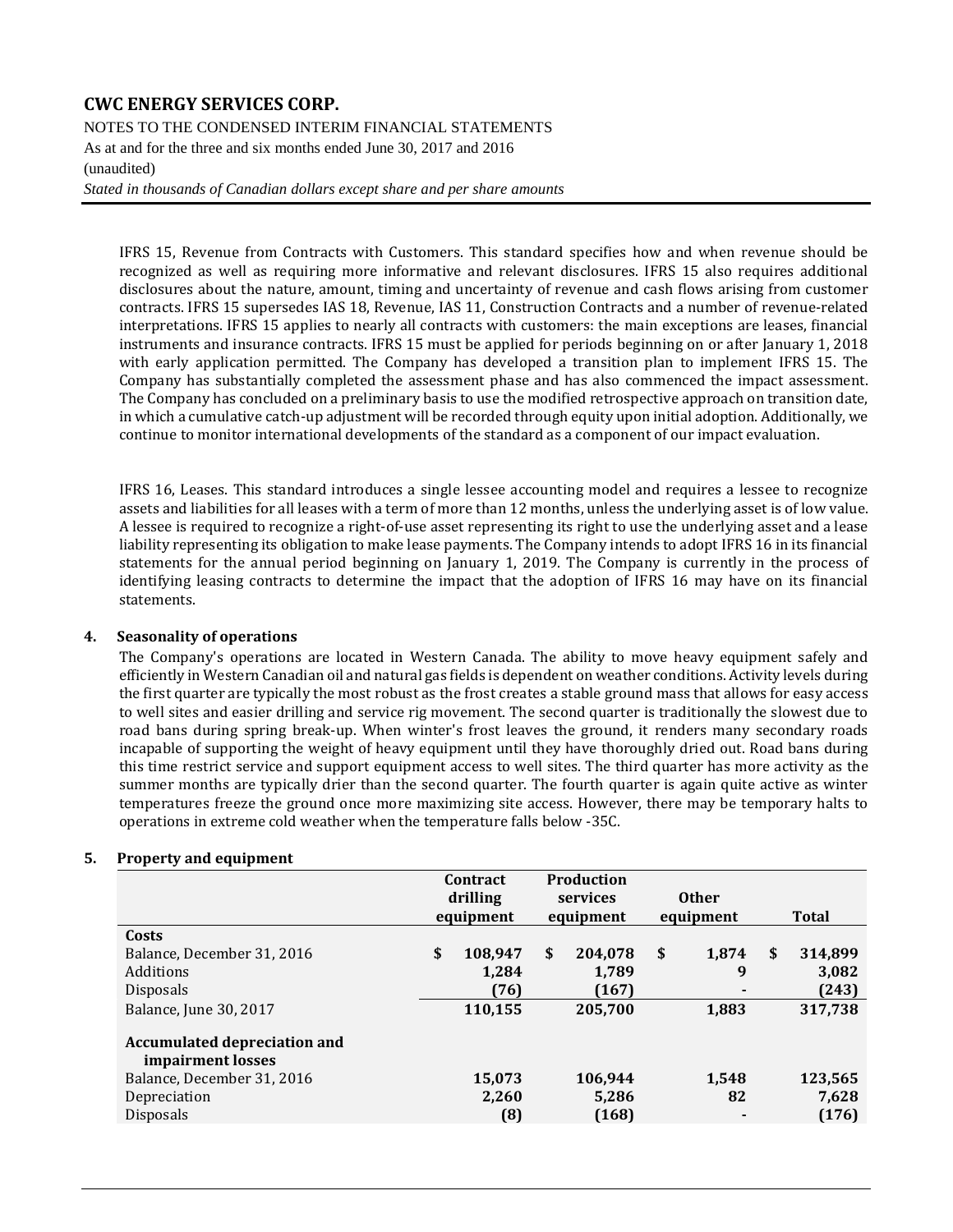NOTES TO THE CONDENSED INTERIM FINANCIAL STATEMENTS As at and for the three and six months ended June 30, 2017 and 2016 (unaudited)

*Stated in thousands of Canadian dollars except share and per share amounts*

IFRS 15, Revenue from Contracts with Customers. This standard specifies how and when revenue should be recognized as well as requiring more informative and relevant disclosures. IFRS 15 also requires additional disclosures about the nature, amount, timing and uncertainty of revenue and cash flows arising from customer contracts. IFRS 15 supersedes IAS 18, Revenue, IAS 11, Construction Contracts and a number of revenue-related interpretations. IFRS 15 applies to nearly all contracts with customers: the main exceptions are leases, financial instruments and insurance contracts. IFRS 15 must be applied for periods beginning on or after January 1, 2018 with early application permitted. The Company has developed a transition plan to implement IFRS 15. The Company has substantially completed the assessment phase and has also commenced the impact assessment. The Company has concluded on a preliminary basis to use the modified retrospective approach on transition date, in which a cumulative catch-up adjustment will be recorded through equity upon initial adoption. Additionally, we continue to monitor international developments of the standard as a component of our impact evaluation.

IFRS 16, Leases. This standard introduces a single lessee accounting model and requires a lessee to recognize assets and liabilities for all leases with a term of more than 12 months, unless the underlying asset is of low value. A lessee is required to recognize a right-of-use asset representing its right to use the underlying asset and a lease liability representing its obligation to make lease payments. The Company intends to adopt IFRS 16 in its financial statements for the annual period beginning on January 1, 2019. The Company is currently in the process of identifying leasing contracts to determine the impact that the adoption of IFRS 16 may have on its financial statements.

#### **4. Seasonality of operations**

The Company's operations are located in Western Canada. The ability to move heavy equipment safely and efficiently in Western Canadian oil and natural gas fields is dependent on weather conditions. Activity levels during the first quarter are typically the most robust as the frost creates a stable ground mass that allows for easy access to well sites and easier drilling and service rig movement. The second quarter is traditionally the slowest due to road bans during spring break-up. When winter's frost leaves the ground, it renders many secondary roads incapable of supporting the weight of heavy equipment until they have thoroughly dried out. Road bans during this time restrict service and support equipment access to well sites. The third quarter has more activity as the summer months are typically drier than the second quarter. The fourth quarter is again quite active as winter temperatures freeze the ground once more maximizing site access. However, there may be temporary halts to operations in extreme cold weather when the temperature falls below -35C.

|                                                          | Contract<br>drilling<br>equipment |         | <b>Production</b><br>services<br>equipment |         | <b>Other</b><br>equipment |       | <b>Total</b>  |
|----------------------------------------------------------|-----------------------------------|---------|--------------------------------------------|---------|---------------------------|-------|---------------|
| Costs                                                    |                                   |         |                                            |         |                           |       |               |
| Balance, December 31, 2016                               | \$                                | 108,947 | \$                                         | 204,078 | \$                        | 1,874 | \$<br>314,899 |
| Additions                                                |                                   | 1,284   |                                            | 1,789   |                           | 9     | 3,082         |
| <b>Disposals</b>                                         |                                   | (76)    |                                            | (167)   |                           |       | (243)         |
| Balance, June 30, 2017                                   |                                   | 110,155 |                                            | 205,700 |                           | 1,883 | 317,738       |
| <b>Accumulated depreciation and</b><br>impairment losses |                                   |         |                                            |         |                           |       |               |
| Balance, December 31, 2016                               |                                   | 15,073  |                                            | 106,944 |                           | 1,548 | 123,565       |
| Depreciation                                             |                                   | 2,260   |                                            | 5,286   |                           | 82    | 7,628         |
| <b>Disposals</b>                                         |                                   | (8)     |                                            | (168)   |                           |       | (176)         |

#### **5. Property and equipment**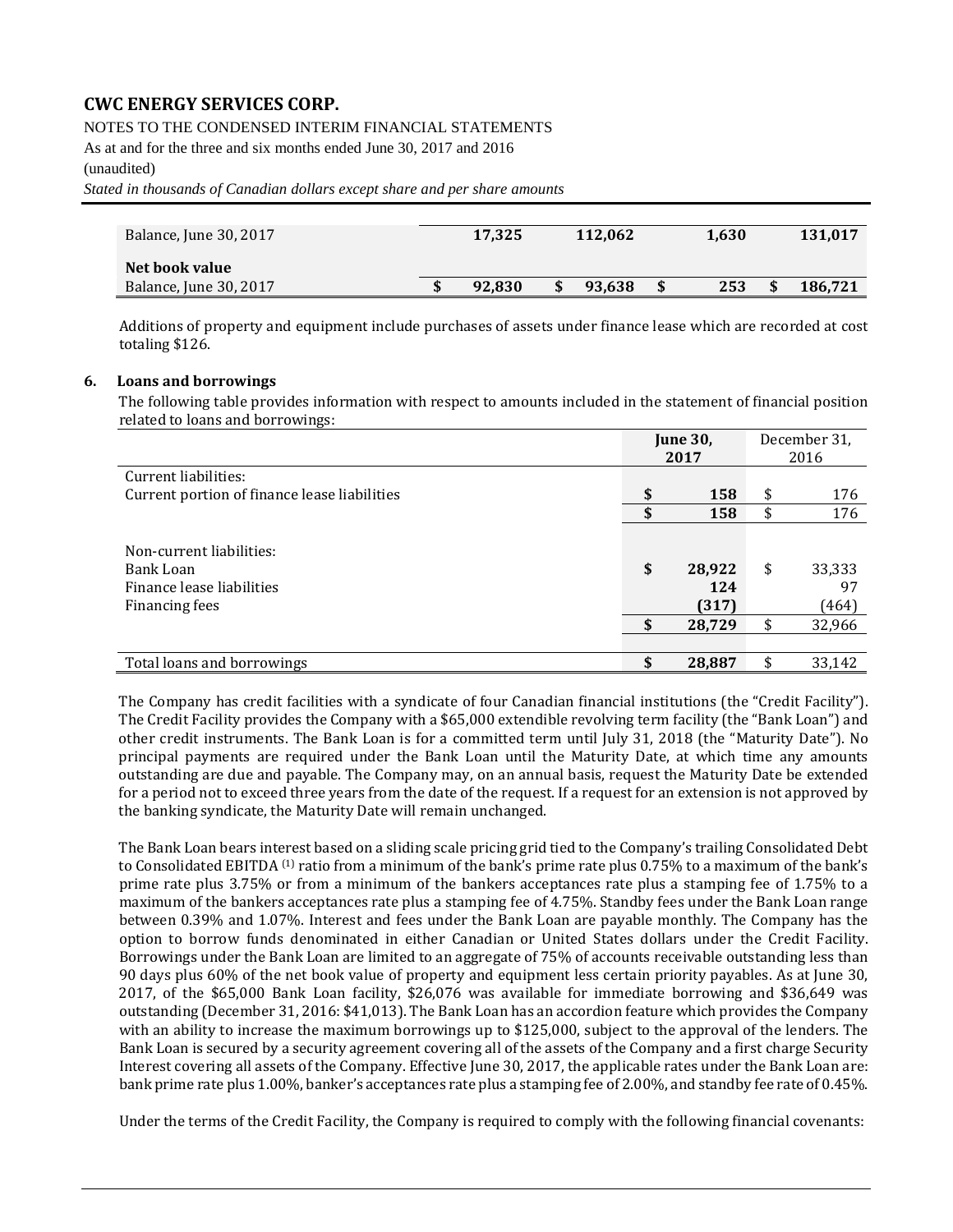#### NOTES TO THE CONDENSED INTERIM FINANCIAL STATEMENTS

As at and for the three and six months ended June 30, 2017 and 2016

#### (unaudited)

*Stated in thousands of Canadian dollars except share and per share amounts*

| Balance, June 30, 2017 | 17.325 | 112.062 | 1,630     | 131,017 |
|------------------------|--------|---------|-----------|---------|
| Net book value         |        |         |           |         |
| Balance, June 30, 2017 | 92.830 | 93.638  | \$<br>253 | 186,721 |

Additions of property and equipment include purchases of assets under finance lease which are recorded at cost totaling \$126.

#### **6. Loans and borrowings**

The following table provides information with respect to amounts included in the statement of financial position related to loans and borrowings:

|                                              | <b>June 30,</b> |        | December 31, |
|----------------------------------------------|-----------------|--------|--------------|
|                                              |                 | 2017   | 2016         |
| Current liabilities:                         |                 |        |              |
| Current portion of finance lease liabilities | \$              | 158    | \$<br>176    |
|                                              | \$              | 158    | \$<br>176    |
|                                              |                 |        |              |
| Non-current liabilities:                     |                 |        |              |
| Bank Loan                                    | \$              | 28,922 | \$<br>33,333 |
| Finance lease liabilities                    |                 | 124    | 97           |
| Financing fees                               |                 | (317)  | (464)        |
|                                              | \$              | 28,729 | \$<br>32,966 |
|                                              |                 |        |              |
| Total loans and borrowings                   | \$              | 28,887 | 33,142       |

The Company has credit facilities with a syndicate of four Canadian financial institutions (the "Credit Facility"). The Credit Facility provides the Company with a \$65,000 extendible revolving term facility (the "Bank Loan") and other credit instruments. The Bank Loan is for a committed term until July 31, 2018 (the "Maturity Date"). No principal payments are required under the Bank Loan until the Maturity Date, at which time any amounts outstanding are due and payable. The Company may, on an annual basis, request the Maturity Date be extended for a period not to exceed three years from the date of the request. If a request for an extension is not approved by the banking syndicate, the Maturity Date will remain unchanged.

The Bank Loan bears interest based on a sliding scale pricing grid tied to the Company's trailing Consolidated Debt to Consolidated EBITDA<sup>(1)</sup> ratio from a minimum of the bank's prime rate plus 0.75% to a maximum of the bank's prime rate plus 3.75% or from a minimum of the bankers acceptances rate plus a stamping fee of 1.75% to a maximum of the bankers acceptances rate plus a stamping fee of 4.75%. Standby fees under the Bank Loan range between 0.39% and 1.07%. Interest and fees under the Bank Loan are payable monthly. The Company has the option to borrow funds denominated in either Canadian or United States dollars under the Credit Facility. Borrowings under the Bank Loan are limited to an aggregate of 75% of accounts receivable outstanding less than 90 days plus 60% of the net book value of property and equipment less certain priority payables. As at June 30, 2017, of the \$65,000 Bank Loan facility, \$26,076 was available for immediate borrowing and \$36,649 was outstanding (December 31, 2016: \$41,013). The Bank Loan has an accordion feature which provides the Company with an ability to increase the maximum borrowings up to \$125,000, subject to the approval of the lenders. The Bank Loan is secured by a security agreement covering all of the assets of the Company and a first charge Security Interest covering all assets of the Company. Effective June 30, 2017, the applicable rates under the Bank Loan are: bank prime rate plus 1.00%, banker's acceptances rate plus a stamping fee of 2.00%, and standby fee rate of 0.45%.

Under the terms of the Credit Facility, the Company is required to comply with the following financial covenants: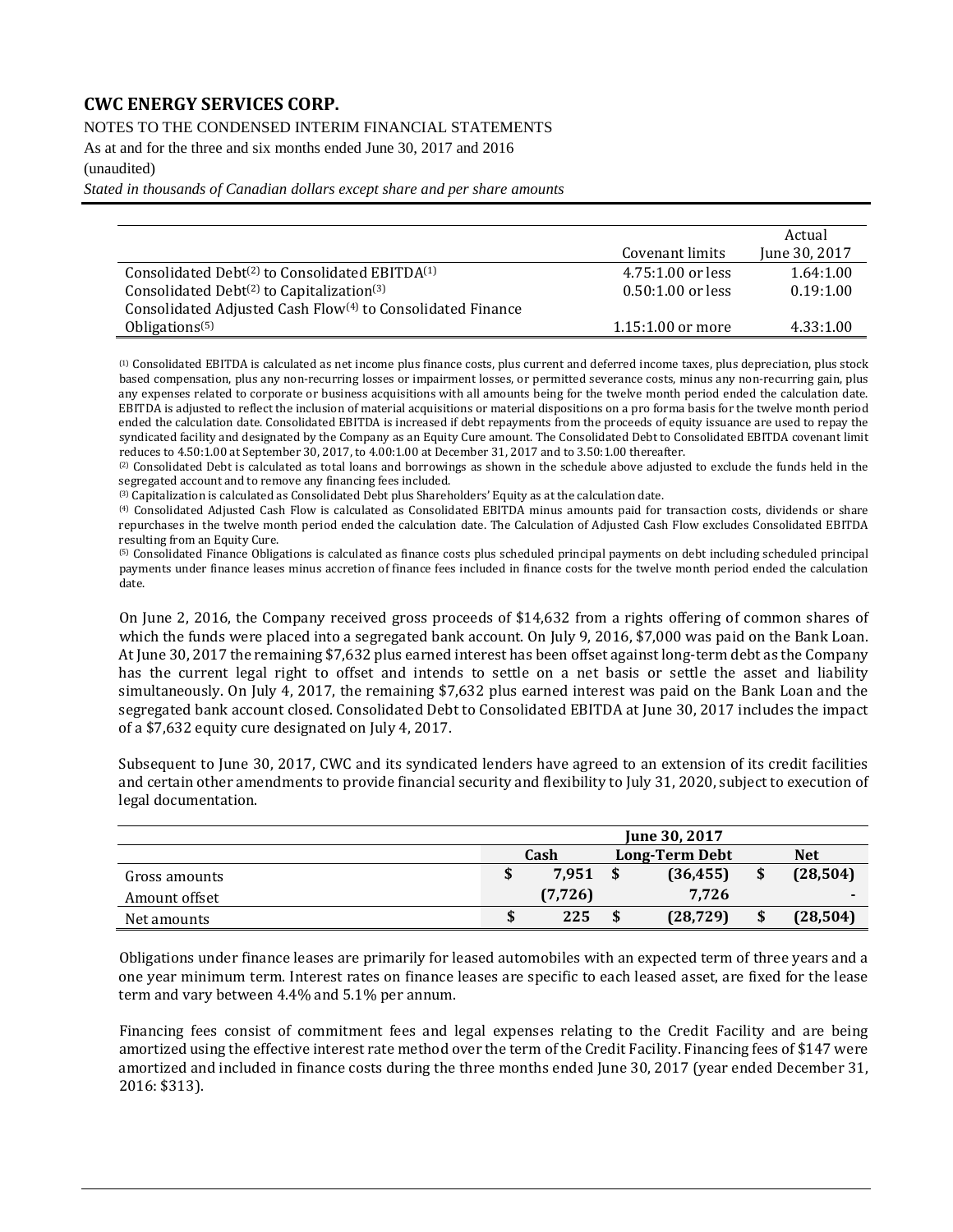NOTES TO THE CONDENSED INTERIM FINANCIAL STATEMENTS

As at and for the three and six months ended June 30, 2017 and 2016

#### (unaudited)

*Stated in thousands of Canadian dollars except share and per share amounts*

|                                                                        |                     | Actual        |
|------------------------------------------------------------------------|---------------------|---------------|
|                                                                        | Covenant limits     | June 30, 2017 |
| Consolidated Debt <sup>(2)</sup> to Consolidated EBITDA <sup>(1)</sup> | 4.75:1.00 or less   | 1.64:1.00     |
| Consolidated Debt $(2)$ to Capitalization $(3)$                        | $0.50:1.00$ or less | 0.19:1.00     |
| Consolidated Adjusted Cash Flow <sup>(4)</sup> to Consolidated Finance |                     |               |
| Obligations <sup><math>(5)</math></sup>                                | $1.15:1.00$ or more | 4.33:1.00     |

(1) Consolidated EBITDA is calculated as net income plus finance costs, plus current and deferred income taxes, plus depreciation, plus stock based compensation, plus any non-recurring losses or impairment losses, or permitted severance costs, minus any non-recurring gain, plus any expenses related to corporate or business acquisitions with all amounts being for the twelve month period ended the calculation date. EBITDA is adjusted to reflect the inclusion of material acquisitions or material dispositions on a pro forma basis for the twelve month period ended the calculation date. Consolidated EBITDA is increased if debt repayments from the proceeds of equity issuance are used to repay the syndicated facility and designated by the Company as an Equity Cure amount. The Consolidated Debt to Consolidated EBITDA covenant limit reduces to 4.50:1.00 at September 30, 2017, to 4.00:1.00 at December 31, 2017 and to 3.50:1.00 thereafter.

(2) Consolidated Debt is calculated as total loans and borrowings as shown in the schedule above adjusted to exclude the funds held in the segregated account and to remove any financing fees included.

(3) Capitalization is calculated as Consolidated Debt plus Shareholders' Equity as at the calculation date.

(4) Consolidated Adjusted Cash Flow is calculated as Consolidated EBITDA minus amounts paid for transaction costs, dividends or share repurchases in the twelve month period ended the calculation date. The Calculation of Adjusted Cash Flow excludes Consolidated EBITDA resulting from an Equity Cure.

(5) Consolidated Finance Obligations is calculated as finance costs plus scheduled principal payments on debt including scheduled principal payments under finance leases minus accretion of finance fees included in finance costs for the twelve month period ended the calculation date.

On June 2, 2016, the Company received gross proceeds of \$14,632 from a rights offering of common shares of which the funds were placed into a segregated bank account. On July 9, 2016, \$7,000 was paid on the Bank Loan. At June 30, 2017 the remaining \$7,632 plus earned interest has been offset against long-term debt as the Company has the current legal right to offset and intends to settle on a net basis or settle the asset and liability simultaneously. On July 4, 2017, the remaining \$7,632 plus earned interest was paid on the Bank Loan and the segregated bank account closed. Consolidated Debt to Consolidated EBITDA at June 30, 2017 includes the impact of a \$7,632 equity cure designated on July 4, 2017.

Subsequent to June 30, 2017, CWC and its syndicated lenders have agreed to an extension of its credit facilities and certain other amendments to provide financial security and flexibility to July 31, 2020, subject to execution of legal documentation.

|               |          |    | June 30, 2017         |                 |
|---------------|----------|----|-----------------------|-----------------|
|               | Cash     |    | <b>Long-Term Debt</b> | <b>Net</b>      |
| Gross amounts | 7.951    | -S | (36, 455)             | \$<br>(28, 504) |
| Amount offset | (7, 726) |    | 7.726                 |                 |
| Net amounts   | 225      |    | (28, 729)             | (28, 504)       |

Obligations under finance leases are primarily for leased automobiles with an expected term of three years and a one year minimum term. Interest rates on finance leases are specific to each leased asset, are fixed for the lease term and vary between 4.4% and 5.1% per annum.

Financing fees consist of commitment fees and legal expenses relating to the Credit Facility and are being amortized using the effective interest rate method over the term of the Credit Facility. Financing fees of \$147 were amortized and included in finance costs during the three months ended June 30, 2017 (year ended December 31, 2016: \$313).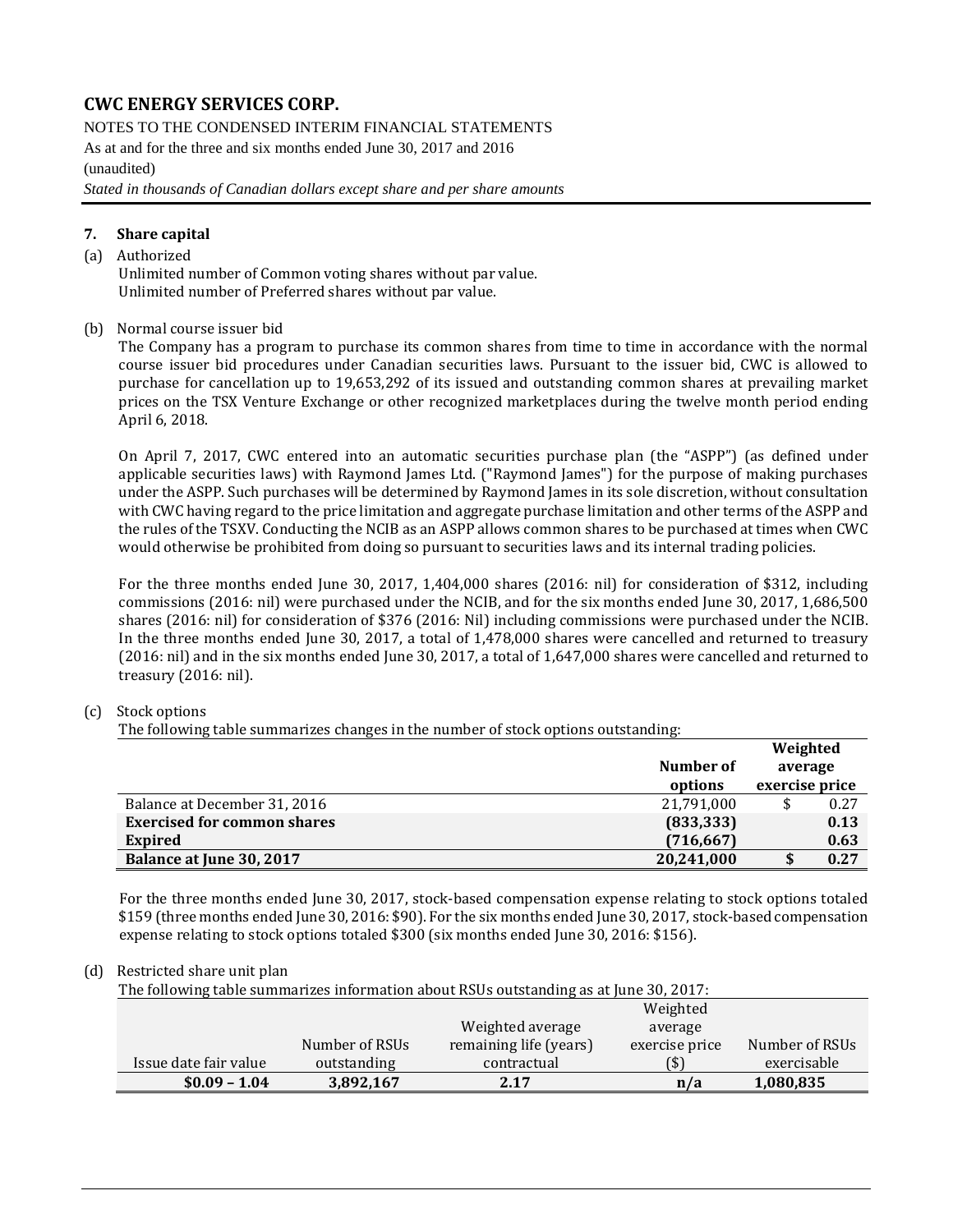NOTES TO THE CONDENSED INTERIM FINANCIAL STATEMENTS

As at and for the three and six months ended June 30, 2017 and 2016 (unaudited)

*Stated in thousands of Canadian dollars except share and per share amounts*

#### **7. Share capital**

#### (a) Authorized

Unlimited number of Common voting shares without par value. Unlimited number of Preferred shares without par value.

#### (b) Normal course issuer bid

The Company has a program to purchase its common shares from time to time in accordance with the normal course issuer bid procedures under Canadian securities laws. Pursuant to the issuer bid, CWC is allowed to purchase for cancellation up to 19,653,292 of its issued and outstanding common shares at prevailing market prices on the TSX Venture Exchange or other recognized marketplaces during the twelve month period ending April 6, 2018.

On April 7, 2017, CWC entered into an automatic securities purchase plan (the "ASPP") (as defined under applicable securities laws) with Raymond James Ltd. ("Raymond James") for the purpose of making purchases under the ASPP. Such purchases will be determined by Raymond James in its sole discretion, without consultation with CWC having regard to the price limitation and aggregate purchase limitation and other terms of the ASPP and the rules of the TSXV. Conducting the NCIB as an ASPP allows common shares to be purchased at times when CWC would otherwise be prohibited from doing so pursuant to securities laws and its internal trading policies.

For the three months ended June 30, 2017, 1,404,000 shares (2016: nil) for consideration of \$312, including commissions (2016: nil) were purchased under the NCIB, and for the six months ended June 30, 2017, 1,686,500 shares (2016: nil) for consideration of \$376 (2016: Nil) including commissions were purchased under the NCIB. In the three months ended June 30, 2017, a total of 1,478,000 shares were cancelled and returned to treasury (2016: nil) and in the six months ended June 30, 2017, a total of 1,647,000 shares were cancelled and returned to treasury (2016: nil).

#### (c) Stock options

The following table summarizes changes in the number of stock options outstanding:

|                                    |            | Weighted       |      |
|------------------------------------|------------|----------------|------|
|                                    | Number of  | average        |      |
|                                    | options    | exercise price |      |
| Balance at December 31, 2016       | 21,791,000 |                | 0.27 |
| <b>Exercised for common shares</b> | (833, 333) |                | 0.13 |
| <b>Expired</b>                     | (716, 667) |                | 0.63 |
| Balance at June 30, 2017           | 20,241,000 |                | 0.27 |

For the three months ended June 30, 2017, stock-based compensation expense relating to stock options totaled \$159 (three months ended June 30, 2016: \$90). For the six months ended June 30, 2017, stock-based compensation expense relating to stock options totaled \$300 (six months ended June 30, 2016: \$156).

#### (d) Restricted share unit plan

| The following table summarizes information about RSUs outstanding as at June 30, 2017: |                |                        |                |                |  |  |  |  |
|----------------------------------------------------------------------------------------|----------------|------------------------|----------------|----------------|--|--|--|--|
|                                                                                        |                |                        | Weighted       |                |  |  |  |  |
|                                                                                        |                | Weighted average       | average        |                |  |  |  |  |
|                                                                                        | Number of RSUs | remaining life (years) | exercise price | Number of RSUs |  |  |  |  |
| Issue date fair value                                                                  | outstanding    | contractual            | [\$]           | exercisable    |  |  |  |  |
| $$0.09 - 1.04$                                                                         | 3,892,167      | 2.17                   | n/a            | 1,080,835      |  |  |  |  |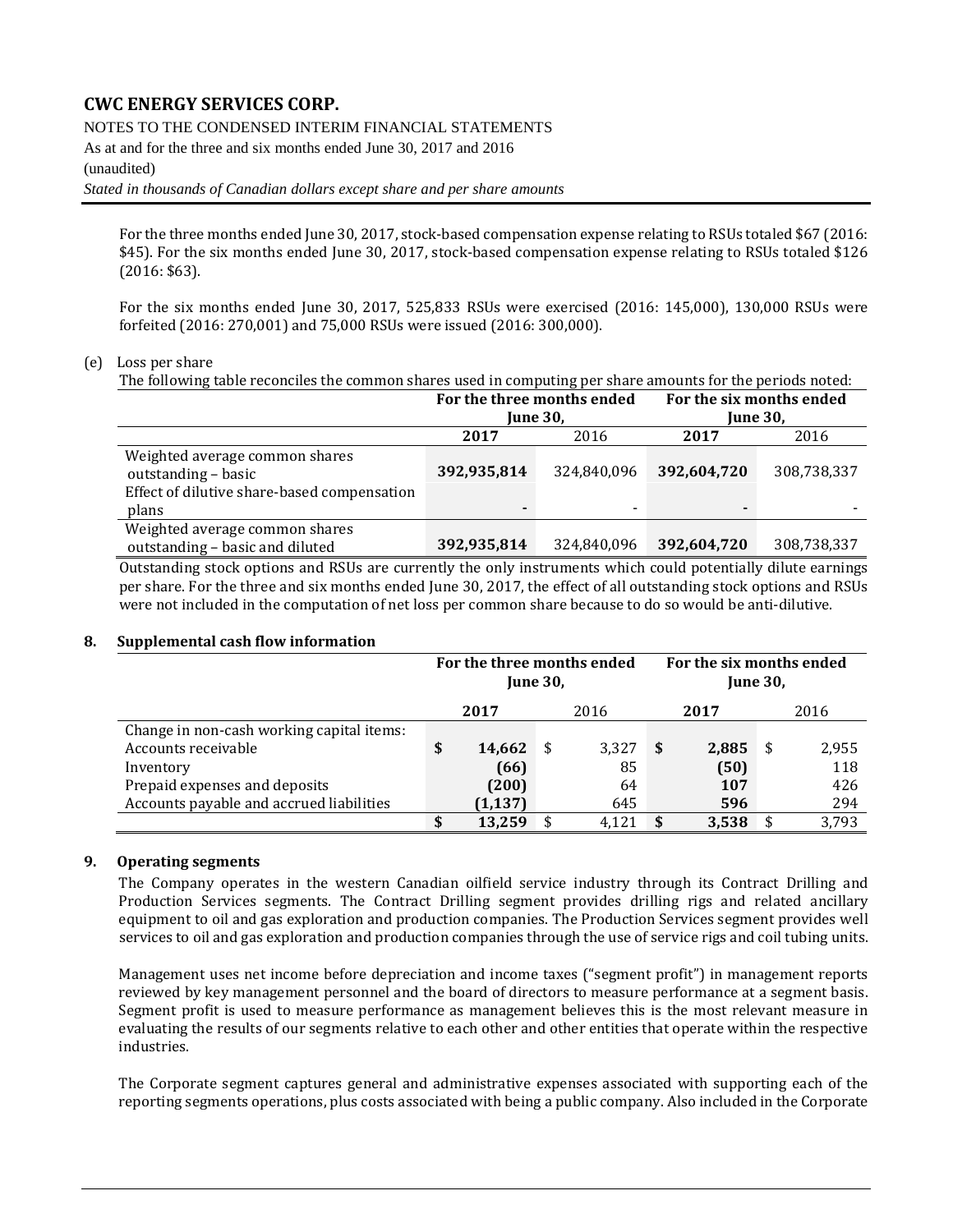#### NOTES TO THE CONDENSED INTERIM FINANCIAL STATEMENTS

As at and for the three and six months ended June 30, 2017 and 2016

#### (unaudited)

*Stated in thousands of Canadian dollars except share and per share amounts*

For the three months ended June 30, 2017, stock-based compensation expense relating to RSUs totaled \$67 (2016: \$45). For the six months ended June 30, 2017, stock-based compensation expense relating to RSUs totaled \$126 (2016: \$63).

For the six months ended June 30, 2017, 525,833 RSUs were exercised (2016: 145,000), 130,000 RSUs were forfeited (2016: 270,001) and 75,000 RSUs were issued (2016: 300,000).

#### (e) Loss per share

The following table reconciles the common shares used in computing per share amounts for the periods noted:

|                                                       | For the three months ended |                                                                                   | For the six months ended |             |  |  |
|-------------------------------------------------------|----------------------------|-----------------------------------------------------------------------------------|--------------------------|-------------|--|--|
|                                                       | <b>June 30.</b>            |                                                                                   | <b>June 30.</b>          |             |  |  |
|                                                       | 2017                       | 2016                                                                              | 2017                     | 2016        |  |  |
| Weighted average common shares<br>outstanding - basic | 392,935,814                | 324,840,096                                                                       | 392,604,720              | 308,738,337 |  |  |
| Effect of dilutive share-based compensation           |                            |                                                                                   |                          |             |  |  |
| plans                                                 |                            | -                                                                                 | -                        |             |  |  |
| Weighted average common shares                        |                            |                                                                                   |                          |             |  |  |
| outstanding - basic and diluted                       | 392,935,814                | 324,840,096                                                                       | 392,604,720              | 308,738,337 |  |  |
|                                                       |                            | $\mathbf{v}$ , and $\mathbf{v}$ is a set of $\mathbf{v}$ is a set of $\mathbf{v}$ |                          |             |  |  |

Outstanding stock options and RSUs are currently the only instruments which could potentially dilute earnings per share. For the three and six months ended June 30, 2017, the effect of all outstanding stock options and RSUs were not included in the computation of net loss per common share because to do so would be anti-dilutive.

#### **8. Supplemental cash flow information**

|                                           | For the three months ended<br><b>June 30.</b> |   |       | For the six months ended<br><b>June 30.</b> |       |   |       |  |  |
|-------------------------------------------|-----------------------------------------------|---|-------|---------------------------------------------|-------|---|-------|--|--|
|                                           | 2017                                          |   | 2016  |                                             | 2017  |   | 2016  |  |  |
| Change in non-cash working capital items: |                                               |   |       |                                             |       |   |       |  |  |
| Accounts receivable                       | \$<br>14,662                                  | S | 3,327 | - \$                                        | 2,885 | S | 2,955 |  |  |
| Inventory                                 | (66)                                          |   | 85    |                                             | (50)  |   | 118   |  |  |
| Prepaid expenses and deposits             | (200)                                         |   | 64    |                                             | 107   |   | 426   |  |  |
| Accounts payable and accrued liabilities  | (1, 137)                                      |   | 645   |                                             | 596   |   | 294   |  |  |
|                                           | \$<br>13.259                                  |   | 4.121 | -\$                                         | 3,538 |   | 3,793 |  |  |

#### **9. Operating segments**

The Company operates in the western Canadian oilfield service industry through its Contract Drilling and Production Services segments. The Contract Drilling segment provides drilling rigs and related ancillary equipment to oil and gas exploration and production companies. The Production Services segment provides well services to oil and gas exploration and production companies through the use of service rigs and coil tubing units.

Management uses net income before depreciation and income taxes ("segment profit") in management reports reviewed by key management personnel and the board of directors to measure performance at a segment basis. Segment profit is used to measure performance as management believes this is the most relevant measure in evaluating the results of our segments relative to each other and other entities that operate within the respective industries.

The Corporate segment captures general and administrative expenses associated with supporting each of the reporting segments operations, plus costs associated with being a public company. Also included in the Corporate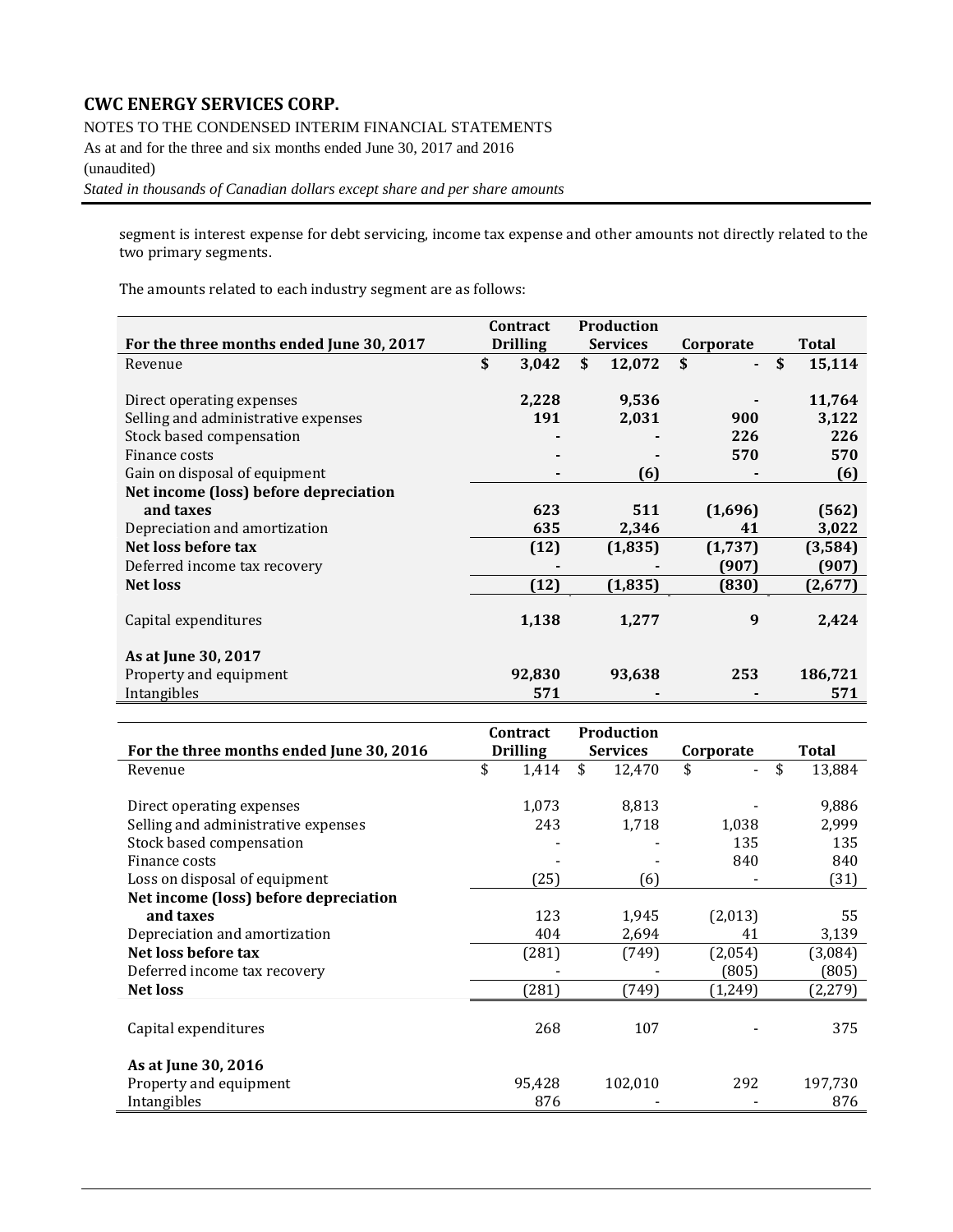NOTES TO THE CONDENSED INTERIM FINANCIAL STATEMENTS

As at and for the three and six months ended June 30, 2017 and 2016 (unaudited)

*Stated in thousands of Canadian dollars except share and per share amounts*

segment is interest expense for debt servicing, income tax expense and other amounts not directly related to the two primary segments.

The amounts related to each industry segment are as follows:

|                                          | Contract        | <b>Production</b> |           |              |
|------------------------------------------|-----------------|-------------------|-----------|--------------|
| For the three months ended June 30, 2017 | <b>Drilling</b> | <b>Services</b>   | Corporate | <b>Total</b> |
| Revenue                                  | \$<br>3,042     | \$<br>12,072      | \$        | \$<br>15,114 |
|                                          |                 |                   |           |              |
| Direct operating expenses                | 2,228           | 9,536             |           | 11,764       |
| Selling and administrative expenses      | 191             | 2,031             | 900       | 3,122        |
| Stock based compensation                 |                 |                   | 226       | 226          |
| Finance costs                            |                 |                   | 570       | 570          |
| Gain on disposal of equipment            |                 | (6)               |           | (6)          |
| Net income (loss) before depreciation    |                 |                   |           |              |
| and taxes                                | 623             | 511               | (1,696)   | (562)        |
| Depreciation and amortization            | 635             | 2,346             | 41        | 3,022        |
| Net loss before tax                      | (12)            | (1, 835)          | (1,737)   | (3,584)      |
| Deferred income tax recovery             |                 |                   | (907)     | (907)        |
| <b>Net loss</b>                          | (12)            | (1, 835)          | (830)     | (2,677)      |
|                                          |                 |                   |           |              |
| Capital expenditures                     | 1,138           | 1,277             | 9         | 2,424        |
|                                          |                 |                   |           |              |
| As at June 30, 2017                      |                 |                   |           |              |
| Property and equipment                   | 92,830          | 93,638            | 253       | 186,721      |
| Intangibles                              | 571             |                   |           | 571          |

|                                          | <b>Contract</b> | <b>Production</b> |           |         |              |
|------------------------------------------|-----------------|-------------------|-----------|---------|--------------|
| For the three months ended June 30, 2016 | <b>Drilling</b> | <b>Services</b>   | Corporate |         | Total        |
| Revenue                                  | \$<br>1,414     | \$<br>12,470      | \$        |         | \$<br>13,884 |
|                                          |                 |                   |           |         |              |
| Direct operating expenses                | 1,073           | 8,813             |           |         | 9,886        |
| Selling and administrative expenses      | 243             | 1,718             |           | 1,038   | 2,999        |
| Stock based compensation                 |                 |                   |           | 135     | 135          |
| Finance costs                            |                 |                   |           | 840     | 840          |
| Loss on disposal of equipment            | (25)            | (6)               |           |         | (31)         |
| Net income (loss) before depreciation    |                 |                   |           |         |              |
| and taxes                                | 123             | 1,945             |           | (2,013) | 55           |
| Depreciation and amortization            | 404             | 2,694             |           | 41      | 3,139        |
| Net loss before tax                      | (281)           | (749)             |           | (2,054) | (3,084)      |
| Deferred income tax recovery             |                 |                   |           | (805)   | (805)        |
| <b>Net loss</b>                          | (281)           | (749)             |           | (1,249) | (2,279)      |
|                                          |                 |                   |           |         |              |
| Capital expenditures                     | 268             | 107               |           |         | 375          |
|                                          |                 |                   |           |         |              |
| As at June 30, 2016                      |                 |                   |           |         |              |
| Property and equipment                   | 95,428          | 102,010           |           | 292     | 197,730      |
| Intangibles                              | 876             |                   |           |         | 876          |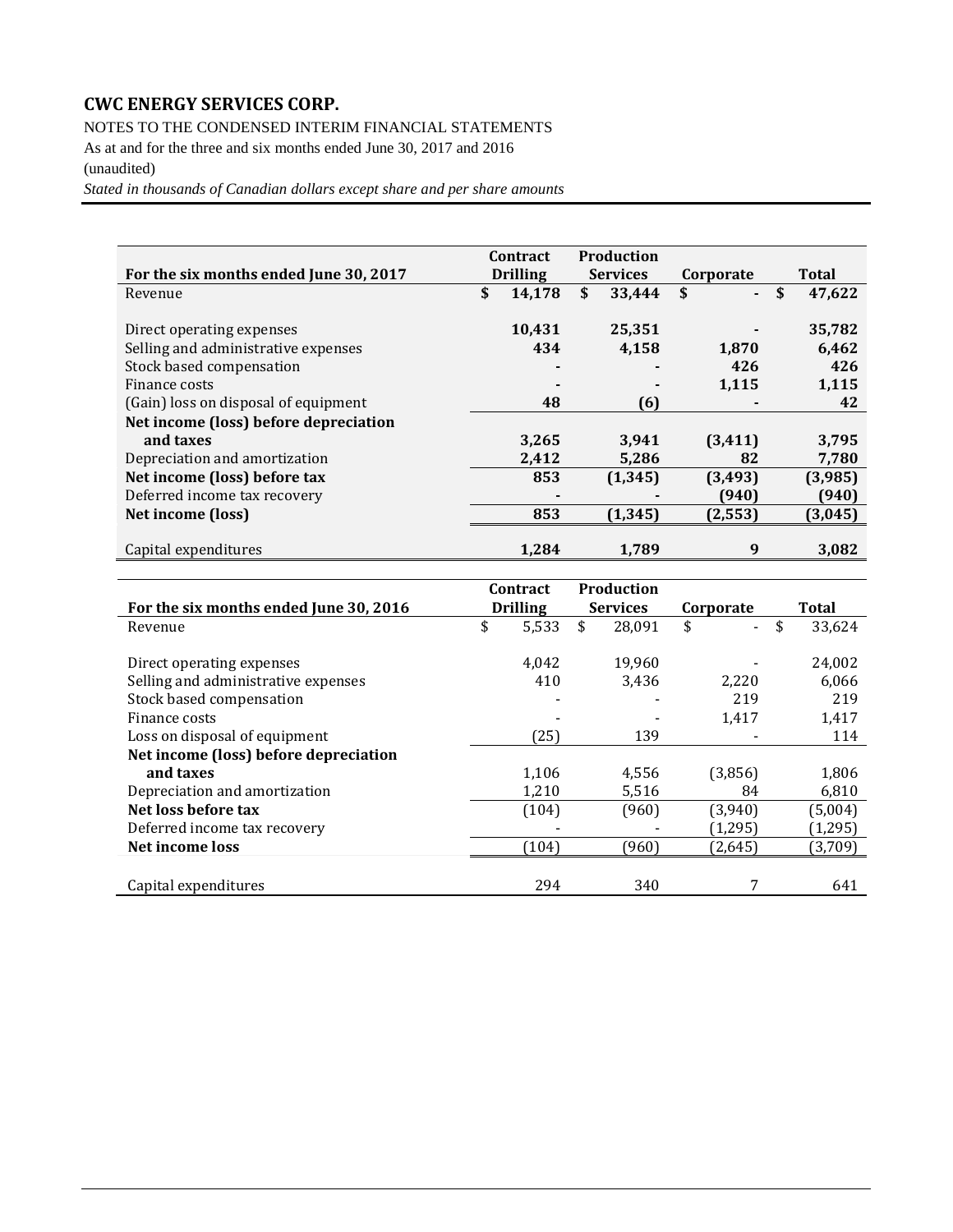NOTES TO THE CONDENSED INTERIM FINANCIAL STATEMENTS

As at and for the three and six months ended June 30, 2017 and 2016 (unaudited)

*Stated in thousands of Canadian dollars except share and per share amounts*

|                                        | <b>Contract</b> |                 | <b>Production</b> |           |              |
|----------------------------------------|-----------------|-----------------|-------------------|-----------|--------------|
| For the six months ended June 30, 2017 |                 | <b>Drilling</b> | <b>Services</b>   | Corporate | Total        |
| Revenue                                | \$              | 14,178          | \$<br>33,444      | \$        | \$<br>47,622 |
|                                        |                 |                 |                   |           |              |
| Direct operating expenses              |                 | 10,431          | 25,351            |           | 35,782       |
| Selling and administrative expenses    |                 | 434             | 4,158             | 1,870     | 6,462        |
| Stock based compensation               |                 |                 |                   | 426       | 426          |
| Finance costs                          |                 |                 |                   | 1,115     | 1,115        |
| (Gain) loss on disposal of equipment   |                 | 48              | (6)               |           | 42           |
| Net income (loss) before depreciation  |                 |                 |                   |           |              |
| and taxes                              |                 | 3,265           | 3,941             | (3, 411)  | 3,795        |
| Depreciation and amortization          |                 | 2,412           | 5,286             | 82        | 7,780        |
| Net income (loss) before tax           |                 | 853             | (1, 345)          | (3, 493)  | (3,985)      |
| Deferred income tax recovery           |                 |                 |                   | (940)     | (940)        |
| Net income (loss)                      |                 | 853             | (1, 345)          | (2, 553)  | (3,045)      |
|                                        |                 |                 |                   |           |              |
| Capital expenditures                   |                 | 1.284           | 1.789             | 9         | 3,082        |
|                                        |                 |                 |                   |           |              |
|                                        |                 | <b>Contract</b> | <b>Production</b> |           |              |

|                                        | contract        | rrouucuon       |                                |              |
|----------------------------------------|-----------------|-----------------|--------------------------------|--------------|
| For the six months ended June 30, 2016 | <b>Drilling</b> | <b>Services</b> | Corporate                      | <b>Total</b> |
| Revenue                                | \$<br>5,533     | \$<br>28,091    | \$<br>$\overline{\phantom{0}}$ | \$<br>33,624 |
|                                        |                 |                 |                                |              |
| Direct operating expenses              | 4.042           | 19.960          |                                | 24,002       |
| Selling and administrative expenses    | 410             | 3,436           | 2,220                          | 6,066        |
| Stock based compensation               |                 |                 | 219                            | 219          |
| Finance costs                          |                 |                 | 1,417                          | 1,417        |
| Loss on disposal of equipment          | (25)            | 139             |                                | 114          |
| Net income (loss) before depreciation  |                 |                 |                                |              |
| and taxes                              | 1,106           | 4,556           | (3,856)                        | 1,806        |
| Depreciation and amortization          | 1,210           | 5,516           | 84                             | 6,810        |
| Net loss before tax                    | (104)           | (960)           | (3,940)                        | (5,004)      |
| Deferred income tax recovery           |                 |                 | (1,295)                        | (1,295)      |
| Net income loss                        | (104)           | (960)           | (2,645)                        | (3,709)      |
|                                        |                 |                 |                                |              |
| Capital expenditures                   | 294             | 340             |                                | 641          |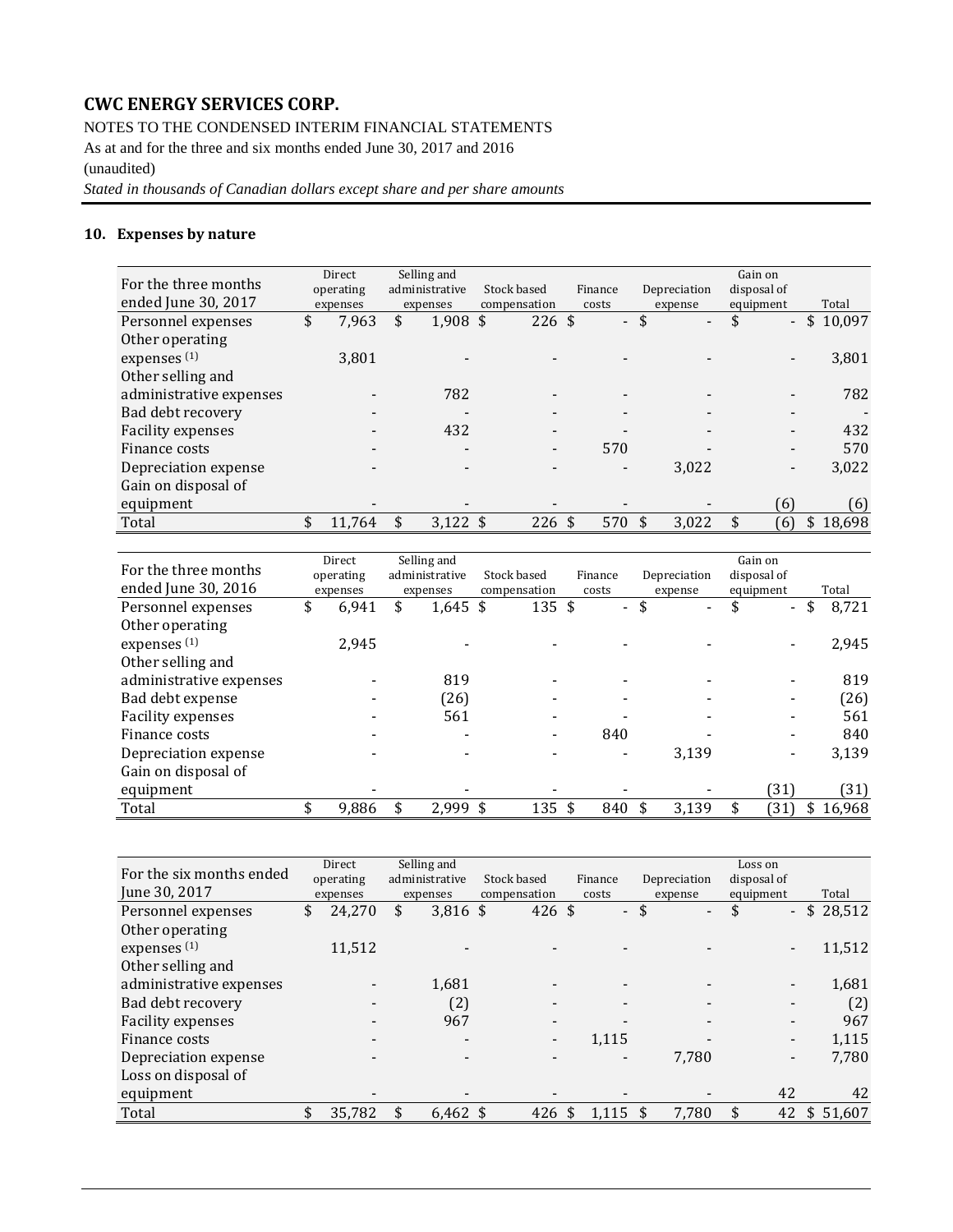NOTES TO THE CONDENSED INTERIM FINANCIAL STATEMENTS

As at and for the three and six months ended June 30, 2017 and 2016 (unaudited)

*Stated in thousands of Canadian dollars except share and per share amounts*

## **10. Expenses by nature**

| For the three months<br>ended June 30, 2017 | Direct<br>operating<br>expenses | Selling and<br>administrative<br>expenses | Stock based<br>compensation |                          | Finance<br>costs         | Depreciation<br>expense        | Gain on<br>disposal of<br>equipment | Total        |
|---------------------------------------------|---------------------------------|-------------------------------------------|-----------------------------|--------------------------|--------------------------|--------------------------------|-------------------------------------|--------------|
| Personnel expenses                          | \$<br>7,963                     | \$<br>$1,908$ \$                          |                             | $226 \text{ }$ \$        | $\mathcal{L}^{\pm}$      | \$<br>$\overline{\phantom{a}}$ | \$<br>$\overline{\phantom{0}}$      | \$<br>10,097 |
| Other operating                             |                                 |                                           |                             |                          |                          |                                |                                     |              |
| expenses <sup>(1)</sup>                     | 3,801                           |                                           |                             |                          |                          |                                |                                     | 3,801        |
| Other selling and                           |                                 |                                           |                             |                          |                          |                                |                                     |              |
| administrative expenses                     |                                 | 782                                       |                             |                          | $\overline{\phantom{a}}$ |                                |                                     | 782          |
| Bad debt recovery                           |                                 |                                           |                             |                          | $\,$                     |                                |                                     |              |
| <b>Facility expenses</b>                    |                                 | 432                                       |                             | -                        |                          |                                |                                     | 432          |
| Finance costs                               | $\overline{\phantom{0}}$        |                                           |                             | $\overline{\phantom{a}}$ | 570                      |                                |                                     | 570          |
| Depreciation expense                        |                                 |                                           |                             |                          |                          | 3,022                          |                                     | 3,022        |
| Gain on disposal of                         |                                 |                                           |                             |                          |                          |                                |                                     |              |
| equipment                                   |                                 |                                           |                             |                          |                          |                                | (6)                                 | (6)          |
| Total                                       | \$<br>11.764                    | \$<br>$3.122$ \$                          |                             | 226S                     | 570 \$                   | 3,022                          | (6)                                 | \$18,698     |

|                         | Direct      | Selling and      |              |                   |                          |                                | Gain on              |              |
|-------------------------|-------------|------------------|--------------|-------------------|--------------------------|--------------------------------|----------------------|--------------|
| For the three months    | operating   | administrative   | Stock based  |                   | Finance                  | Depreciation                   | disposal of          |              |
| ended June 30, 2016     | expenses    | expenses         | compensation |                   | costs                    | expense                        | equipment            | Total        |
| Personnel expenses      | \$<br>6.941 | \$<br>$1,645$ \$ |              | $135 \text{ }$ \$ | $\blacksquare$           | \$<br>$\overline{\phantom{a}}$ | \$<br>$\blacksquare$ | \$<br>8,721  |
| Other operating         |             |                  |              |                   |                          |                                |                      |              |
| expenses <sup>(1)</sup> | 2.945       |                  |              |                   |                          |                                |                      | 2,945        |
| Other selling and       |             |                  |              |                   |                          |                                |                      |              |
| administrative expenses |             | 819              |              |                   |                          |                                |                      | 819          |
| Bad debt expense        |             | (26)             |              | ۰                 | $\overline{\phantom{a}}$ |                                |                      | (26)         |
| Facility expenses       |             | 561              |              |                   |                          |                                |                      | 561          |
| Finance costs           |             |                  |              | $\blacksquare$    | 840                      |                                |                      | 840          |
| Depreciation expense    |             |                  |              |                   |                          | 3,139                          |                      | 3,139        |
| Gain on disposal of     |             |                  |              |                   |                          |                                |                      |              |
| equipment               |             |                  |              |                   |                          |                                | 31)                  | (31)         |
| Total                   | \$<br>9.886 | \$<br>2,999 \$   |              | 135 \$            | 840                      | 3,139                          | 31)                  | \$<br>16,968 |

| For the six months ended | Direct       | Selling and              |                          |         |                                | Loss on                  |          |
|--------------------------|--------------|--------------------------|--------------------------|---------|--------------------------------|--------------------------|----------|
|                          | operating    | administrative           | Stock based              | Finance | Depreciation                   | disposal of              |          |
| June 30, 2017            | expenses     | expenses                 | compensation             | costs   | expense                        | equipment                | Total    |
| Personnel expenses       | \$<br>24,270 | \$<br>$3,816$ \$         | $426 \text{ }$ \$        | $\sim$  | \$<br>$\overline{\phantom{a}}$ | \$<br>۰.                 | \$28,512 |
| Other operating          |              |                          |                          |         |                                |                          |          |
| expenses <sup>(1)</sup>  | 11,512       |                          |                          |         |                                |                          | 11,512   |
| Other selling and        |              |                          |                          |         |                                |                          |          |
| administrative expenses  |              | 1,681                    |                          |         |                                |                          | 1,681    |
| Bad debt recovery        |              | (2)                      | -                        | $\,$    |                                |                          | (2)      |
| <b>Facility expenses</b> |              | 967                      | $\overline{\phantom{0}}$ | $\,$    |                                |                          | 967      |
| Finance costs            | $\,$         | $\overline{\phantom{0}}$ | $\overline{\phantom{0}}$ | 1,115   |                                | $\overline{\phantom{a}}$ | 1,115    |
| Depreciation expense     |              |                          |                          | $\,$    | 7.780                          |                          | 7,780    |
| Loss on disposal of      |              |                          |                          |         |                                |                          |          |
| equipment                |              |                          |                          |         |                                | 42                       | 42       |
| Total                    | \$<br>35,782 | \$<br>$6,462$ \$         | 426                      | 1,115   | 7,780                          | 42                       | \$51,607 |